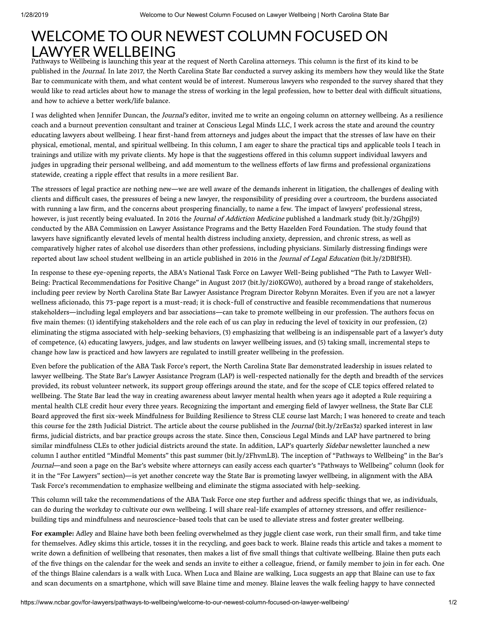## WELCOME TO OUR NEWEST COLUMN FOCUSED ON LAWYER WELLBEING

Pathways to Wellbeing is launching this year at the request of North Carolina attorneys. This column is the first of its kind to be published in the Journal. In late 2017, the North Carolina State Bar conducted a survey asking its members how they would like the State Bar to communicate with them, and what content would be of interest. Numerous lawyers who responded to the survey shared that they would like to read articles about how to manage the stress of working in the legal profession, how to better deal with difficult situations, and how to achieve a better work/life balance.

I was delighted when Jennifer Duncan, the Journal's editor, invited me to write an ongoing column on attorney wellbeing. As a resilience coach and a burnout prevention consultant and trainer at Conscious Legal Minds LLC, I work across the state and around the country educating lawyers about wellbeing. I hear first-hand from attorneys and judges about the impact that the stresses of law have on their physical, emotional, mental, and spiritual wellbeing. In this column, I am eager to share the practical tips and applicable tools I teach in trainings and utilize with my private clients. My hope is that the suggestions offered in this column support individual lawyers and judges in upgrading their personal wellbeing, and add momentum to the wellness efforts of law firms and professional organizations statewide, creating a ripple effect that results in a more resilient Bar.

The stressors of legal practice are nothing new—we are well aware of the demands inherent in litigation, the challenges of dealing with clients and difficult cases, the pressures of being a new lawyer, the responsibility of presiding over a courtroom, the burdens associated with running a law firm, and the concerns about prospering financially, to name a few. The impact of lawyers' professional stress, however, is just recently being evaluated. In 2016 the Journal of Addiction Medicine published a landmark study (bit.ly/2GhpjI9) conducted by the ABA Commission on Lawyer Assistance Programs and the Betty Hazelden Ford Foundation. The study found that lawyers have significantly elevated levels of mental health distress including anxiety, depression, and chronic stress, as well as comparatively higher rates of alcohol use disorders than other professions, including physicians. Similarly distressing findings were reported about law school student wellbeing in an article published in 2016 in the Journal of Legal Education (bit.ly/2DBlf3H).

In response to these eye-opening reports, the ABA's National Task Force on Lawyer Well-Being published "The Path to Lawyer Well-Being: Practical Recommendations for Positive Change" in August 2017 (bit.ly/2i0KGW0), authored by a broad range of stakeholders, including peer review by North Carolina State Bar Lawyer Assistance Program Director Robynn Moraites. Even if you are not a lawyer wellness aficionado, this 73-page report is a must-read; it is chock-full of constructive and feasible recommendations that numerous stakeholders—including legal employers and bar associations—can take to promote wellbeing in our profession. The authors focus on five main themes: (1) identifying stakeholders and the role each of us can play in reducing the level of toxicity in our profession, (2) eliminating the stigma associated with help-seeking behaviors, (3) emphasizing that wellbeing is an indispensable part of a lawyer's duty of competence, (4) educating lawyers, judges, and law students on lawyer wellbeing issues, and (5) taking small, incremental steps to change how law is practiced and how lawyers are regulated to instill greater wellbeing in the profession.

Even before the publication of the ABA Task Force's report, the North Carolina State Bar demonstrated leadership in issues related to lawyer wellbeing. The State Bar's Lawyer Assistance Program (LAP) is well-respected nationally for the depth and breadth of the services provided, its robust volunteer network, its support group offerings around the state, and for the scope of CLE topics offered related to wellbeing. The State Bar lead the way in creating awareness about lawyer mental health when years ago it adopted a Rule requiring a mental health CLE credit hour every three years. Recognizing the important and emerging field of lawyer wellness, the State Bar CLE Board approved the first six-week Mindfulness for Building Resilience to Stress CLE course last March; I was honored to create and teach this course for the 28th Judicial District. The article about the course published in the *Journal* (bit.ly/2rEas3z) sparked interest in law firms, judicial districts, and bar practice groups across the state. Since then, Conscious Legal Minds and LAP have partnered to bring similar mindfulness CLEs to other judicial districts around the state. In addition, LAP's quarterly *Sidebar* newsletter launched a new column I author entitled "Mindful Moments" this past summer (bit.ly/2FhvmLB). The inception of "Pathways to Wellbeing" in the Bar's Journal—and soon a page on the Bar's website where attorneys can easily access each quarter's "Pathways to Wellbeing" column (look for it in the "For Lawyers" section)—is yet another concrete way the State Bar is promoting lawyer wellbeing, in alignment with the ABA Task Force's recommendation to emphasize wellbeing and eliminate the stigma associated with help-seeking.

This column will take the recommendations of the ABA Task Force one step further and address specific things that we, as individuals, can do during the workday to cultivate our own wellbeing. I will share real-life examples of attorney stressors, and offer resiliencebuilding tips and mindfulness and neuroscience-based tools that can be used to alleviate stress and foster greater wellbeing.

**For example:** Adley and Blaine have both been feeling overwhelmed as they juggle client case work, run their small firm, and take time for themselves. Adley skims this article, tosses it in the recycling, and goes back to work. Blaine reads this article and takes a moment to write down a definition of wellbeing that resonates, then makes a list of five small things that cultivate wellbeing. Blaine then puts each of the five things on the calendar for the week and sends an invite to either a colleague, friend, or family member to join in for each. One of the things Blaine calendars is a walk with Luca. When Luca and Blaine are walking, Luca suggests an app that Blaine can use to fax and scan documents on a smartphone, which will save Blaine time and money. Blaine leaves the walk feeling happy to have connected